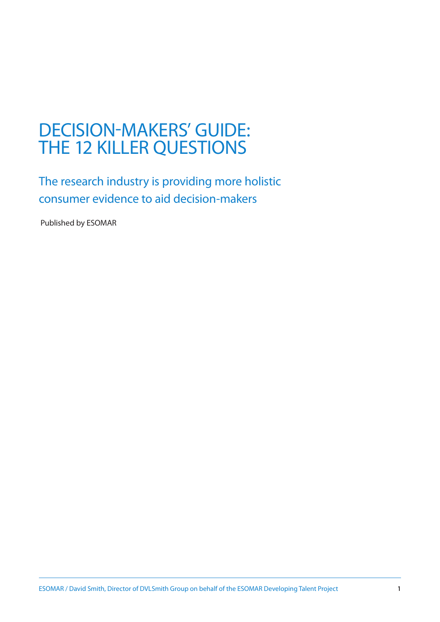# DECISION-MAKERS' GUIDE: THE 12 KILLER QUESTIONS

The research industry is providing more holistic consumer evidence to aid decision-makers

Published by ESOMAR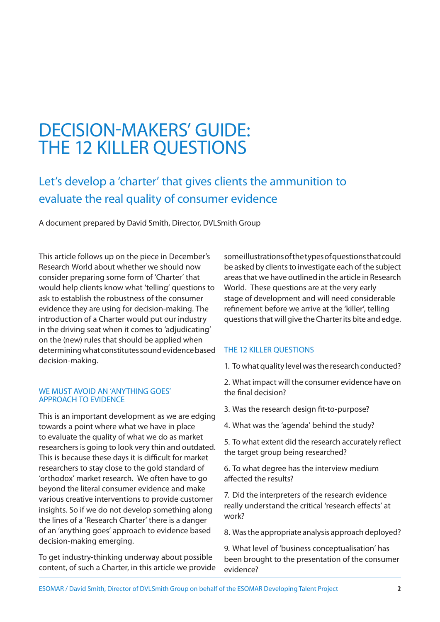# DECISION-MAKERS' GUIDE: THE 12 KILLER QUESTIONS

# Let's develop a 'charter' that gives clients the ammunition to evaluate the real quality of consumer evidence

A document prepared by David Smith, Director, DVLSmith Group

This article follows up on the piece in December's Research World about whether we should now consider preparing some form of 'Charter' that would help clients know what 'telling' questions to ask to establish the robustness of the consumer evidence they are using for decision-making. The introduction of a Charter would put our industry in the driving seat when it comes to 'adjudicating' on the (new) rules that should be applied when determining what constitutes sound evidence based decision-making.

# We must avoid an 'anything goes' approach to evidence

This is an important development as we are edging towards a point where what we have in place to evaluate the quality of what we do as market researchers is going to look very thin and outdated. This is because these days it is difficult for market researchers to stay close to the gold standard of 'orthodox' market research. We often have to go beyond the literal consumer evidence and make various creative interventions to provide customer insights. So if we do not develop something along the lines of a 'Research Charter' there is a danger of an 'anything goes' approach to evidence based decision-making emerging.

To get industry-thinking underway about possible content, of such a Charter, in this article we provide

some illustrations of the types of questions that could be asked by clients to investigate each of the subject areas that we have outlined in the article in Research World. These questions are at the very early stage of development and will need considerable refinement before we arrive at the 'killer', telling questions that will give the Charter its bite and edge.

# THE 12 KILLER OUESTIONS

1. To what quality level was the research conducted?

2. What impact will the consumer evidence have on the final decision?

- 3. Was the research design fit-to-purpose?
- 4. What was the 'agenda' behind the study?

5. To what extent did the research accurately reflect the target group being researched?

6. To what degree has the interview medium affected the results?

7. Did the interpreters of the research evidence really understand the critical 'research effects' at work?

8. Was the appropriate analysis approach deployed?

9. What level of 'business conceptualisation' has been brought to the presentation of the consumer evidence?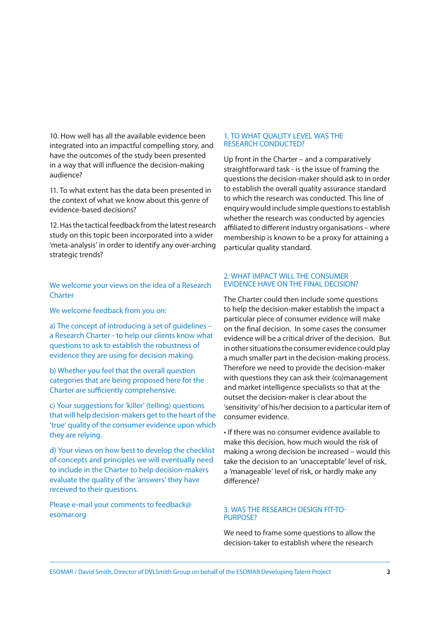10. How well has all the available evidence been integrated into an impactful compelling story, and have the outcomes of the study been presented in a way that will influence the decision-making audience?

11. To what extent has the data been presented in the context of what we know about this genre of evidence-based decisions?

12. Has the tactical feedback from the latest research study on this topic been incorporated into a wider 'meta-analysis' in order to identify any over-arching strategic trends?

We welcome your views on the idea of a Research **Charter** 

We welcome feedback from you on:

a) The concept of introducing a set of guidelines – a Research Charter - to help our clients know what questions to ask to establish the robustness of evidence they are using for decision making.

b) Whether you feel that the overall question categories that are being proposed here for the Charter are sufficiently comprehensive.

c) Your suggestions for 'killer' (telling) questions that will help decision-makers get to the heart of the 'true' quality of the consumer evidence upon which they are relying.

d) Your views on how best to develop the checklist of concepts and principles we will eventually need to include in the Charter to help decision-makers evaluate the quality of the 'answers' they have received to their questions.

Please e-mail your comments to feedback@ esomar.org

#### 1. TO WHAT OUALITY LEVEL WAS THE research conducted?

Up front in the Charter – and a comparatively straightforward task - is the issue of framing the questions the decision-maker should ask to in order to establish the overall quality assurance standard to which the research was conducted. This line of enquiry would include simple questions to establish whether the research was conducted by agencies affiliated to different industry organisations – where membership is known to be a proxy for attaining a particular quality standard.

# 2. What impact will the consumer evidence have on the final decision?

The Charter could then include some questions to help the decision-maker establish the impact a particular piece of consumer evidence will make on the final decision. In some cases the consumer evidence will be a critical driver of the decision. But in other situations the consumer evidence could play a much smaller part in the decision-making process. Therefore we need to provide the decision-maker with questions they can ask their (co)management and market intelligence specialists so that at the outset the decision-maker is clear about the 'sensitivity' of his/her decision to a particular item of consumer evidence.

• If there was no consumer evidence available to make this decision, how much would the risk of making a wrong decision be increased – would this take the decision to an 'unacceptable' level of risk, a 'manageable' level of risk, or hardly make any difference?

# 3. Was the research design fit-topurpose?

We need to frame some questions to allow the decision-taker to establish where the research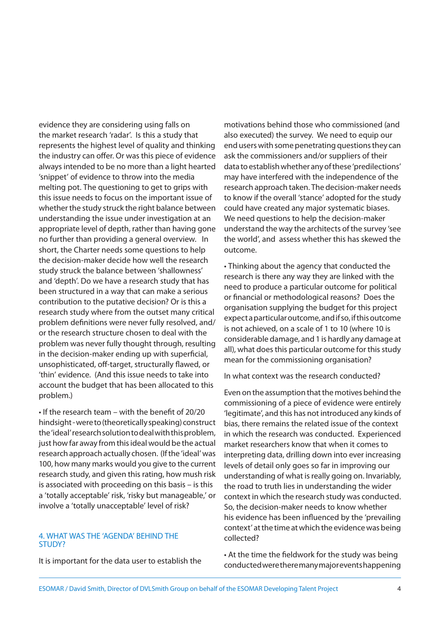evidence they are considering using falls on the market research 'radar'. Is this a study that represents the highest level of quality and thinking the industry can offer. Or was this piece of evidence always intended to be no more than a light hearted 'snippet' of evidence to throw into the media melting pot. The questioning to get to grips with this issue needs to focus on the important issue of whether the study struck the right balance between understanding the issue under investigation at an appropriate level of depth, rather than having gone no further than providing a general overview. In short, the Charter needs some questions to help the decision-maker decide how well the research study struck the balance between 'shallowness' and 'depth'. Do we have a research study that has been structured in a way that can make a serious contribution to the putative decision? Or is this a research study where from the outset many critical problem definitions were never fully resolved, and/ or the research structure chosen to deal with the problem was never fully thought through, resulting in the decision-maker ending up with superficial, unsophisticated, off-target, structurally flawed, or 'thin' evidence. (And this issue needs to take into account the budget that has been allocated to this problem.)

• If the research team – with the benefit of 20/20 hindsight - were to (theoretically speaking) construct the 'ideal' research solution to deal with this problem, just how far away from this ideal would be the actual research approach actually chosen. (If the 'ideal' was 100, how many marks would you give to the current research study, and given this rating, how mush risk is associated with proceeding on this basis – is this a 'totally acceptable' risk, 'risky but manageable,' or involve a 'totally unacceptable' level of risk?

#### 4. What was the 'agenda' behind the STUDY?

It is important for the data user to establish the

motivations behind those who commissioned (and also executed) the survey. We need to equip our end users with some penetrating questions they can ask the commissioners and/or suppliers of their data to establish whether any of these 'predilections' may have interfered with the independence of the research approach taken. The decision-maker needs to know if the overall 'stance' adopted for the study could have created any major systematic biases. We need questions to help the decision-maker understand the way the architects of the survey 'see the world', and assess whether this has skewed the outcome.

• Thinking about the agency that conducted the research is there any way they are linked with the need to produce a particular outcome for political or financial or methodological reasons? Does the organisation supplying the budget for this project expect a particular outcome, and if so, if this outcome is not achieved, on a scale of 1 to 10 (where 10 is considerable damage, and 1 is hardly any damage at all), what does this particular outcome for this study mean for the commissioning organisation?

In what context was the research conducted?

Even on the assumption that the motives behind the commissioning of a piece of evidence were entirely 'legitimate', and this has not introduced any kinds of bias, there remains the related issue of the context in which the research was conducted. Experienced market researchers know that when it comes to interpreting data, drilling down into ever increasing levels of detail only goes so far in improving our understanding of what is really going on. Invariably, the road to truth lies in understanding the wider context in which the research study was conducted. So, the decision-maker needs to know whether his evidence has been influenced by the 'prevailing context' at the time at which the evidence was being collected?

• At the time the fieldwork for the study was being conducted were there many major events happening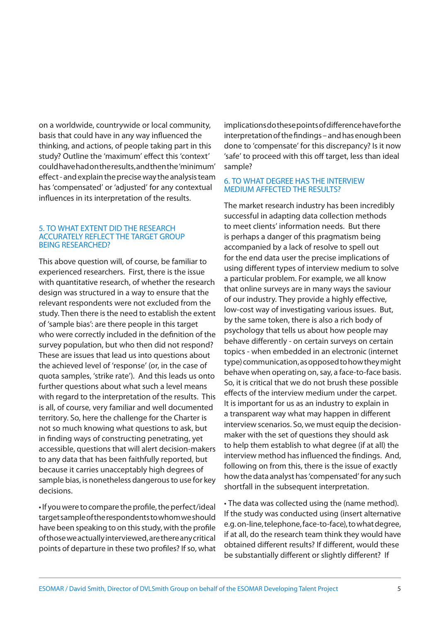on a worldwide, countrywide or local community, basis that could have in any way influenced the thinking, and actions, of people taking part in this study? Outline the 'maximum' effect this 'context' could have had on the results, and then the 'minimum' effect - and explain the precise way the analysis team has 'compensated' or 'adjusted' for any contextual influences in its interpretation of the results.

#### 5. To what extent did the research accurately reflect the target group being researched?

This above question will, of course, be familiar to experienced researchers. First, there is the issue with quantitative research, of whether the research design was structured in a way to ensure that the relevant respondents were not excluded from the study. Then there is the need to establish the extent of 'sample bias': are there people in this target who were correctly included in the definition of the survey population, but who then did not respond? These are issues that lead us into questions about the achieved level of 'response' (or, in the case of quota samples, 'strike rate'). And this leads us onto further questions about what such a level means with regard to the interpretation of the results. This is all, of course, very familiar and well documented territory. So, here the challenge for the Charter is not so much knowing what questions to ask, but in finding ways of constructing penetrating, yet accessible, questions that will alert decision-makers to any data that has been faithfully reported, but because it carries unacceptably high degrees of sample bias, is nonetheless dangerous to use for key decisions.

• If you were to compare the profile, the perfect/ideal target sample of the respondents to whom we should have been speaking to on this study, with the profile of those we actually interviewed, are there any critical points of departure in these two profiles? If so, what implications do these points of difference have for the interpretation of the findings – and has enough been done to 'compensate' for this discrepancy? Is it now 'safe' to proceed with this off target, less than ideal sample?

# 6. To what degree has the interview medium affected the results?

The market research industry has been incredibly successful in adapting data collection methods to meet clients' information needs. But there is perhaps a danger of this pragmatism being accompanied by a lack of resolve to spell out for the end data user the precise implications of using different types of interview medium to solve a particular problem. For example, we all know that online surveys are in many ways the saviour of our industry. They provide a highly effective, low-cost way of investigating various issues. But, by the same token, there is also a rich body of psychology that tells us about how people may behave differently - on certain surveys on certain topics - when embedded in an electronic (internet type) communication, as opposed to how they might behave when operating on, say, a face-to-face basis. So, it is critical that we do not brush these possible effects of the interview medium under the carpet. It is important for us as an industry to explain in a transparent way what may happen in different interview scenarios. So, we must equip the decisionmaker with the set of questions they should ask to help them establish to what degree (if at all) the interview method has influenced the findings. And, following on from this, there is the issue of exactly how the data analyst has 'compensated' for any such shortfall in the subsequent interpretation.

• The data was collected using the (name method). If the study was conducted using (insert alternative e.g. on-line, telephone, face-to-face), to what degree, if at all, do the research team think they would have obtained different results? If different, would these be substantially different or slightly different? If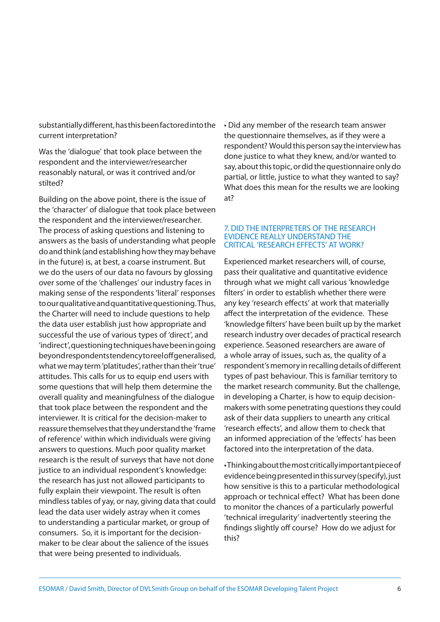substantially different, has this been factored into the current interpretation?

Was the 'dialogue' that took place between the respondent and the interviewer/researcher reasonably natural, or was it contrived and/or stilted?

Building on the above point, there is the issue of the 'character' of dialogue that took place between the respondent and the interviewer/researcher. The process of asking questions and listening to answers as the basis of understanding what people do and think (and establishing how they may behave in the future) is, at best, a coarse instrument. But we do the users of our data no favours by glossing over some of the 'challenges' our industry faces in making sense of the respondents 'literal' responses to our qualitative and quantitative questioning. Thus, the Charter will need to include questions to help the data user establish just how appropriate and successful the use of various types of 'direct', and 'indirect', questioning techniques have been in going beyond respondents tendency to reel off generalised, what we may term 'platitudes', rather than their 'true' attitudes. This calls for us to equip end users with some questions that will help them determine the overall quality and meaningfulness of the dialogue that took place between the respondent and the interviewer. It is critical for the decision-maker to reassure themselves that they understand the 'frame of reference' within which individuals were giving answers to questions. Much poor quality market research is the result of surveys that have not done justice to an individual respondent's knowledge: the research has just not allowed participants to fully explain their viewpoint. The result is often mindless tables of yay, or nay, giving data that could lead the data user widely astray when it comes to understanding a particular market, or group of consumers. So, it is important for the decisionmaker to be clear about the salience of the issues that were being presented to individuals.

• Did any member of the research team answer the questionnaire themselves, as if they were a respondent? Would this person say the interview has done justice to what they knew, and/or wanted to say, about this topic, or did the questionnaire only do partial, or little, justice to what they wanted to say? What does this mean for the results we are looking at?

#### 7. Did the interpreters of the research evidence really understand the critical 'research effects' at work?

Experienced market researchers will, of course, pass their qualitative and quantitative evidence through what we might call various 'knowledge filters' in order to establish whether there were any key 'research effects' at work that materially affect the interpretation of the evidence. These 'knowledge filters' have been built up by the market research industry over decades of practical research experience. Seasoned researchers are aware of a whole array of issues, such as, the quality of a respondent's memory in recalling details of different types of past behaviour. This is familiar territory to the market research community. But the challenge, in developing a Charter, is how to equip decisionmakers with some penetrating questions they could ask of their data suppliers to unearth any critical 'research effects', and allow them to check that an informed appreciation of the 'effects' has been factored into the interpretation of the data.

• Thinking about the most critically important piece of evidence being presented in this survey (specify), just how sensitive is this to a particular methodological approach or technical effect? What has been done to monitor the chances of a particularly powerful 'technical irregularity' inadvertently steering the findings slightly off course? How do we adjust for this?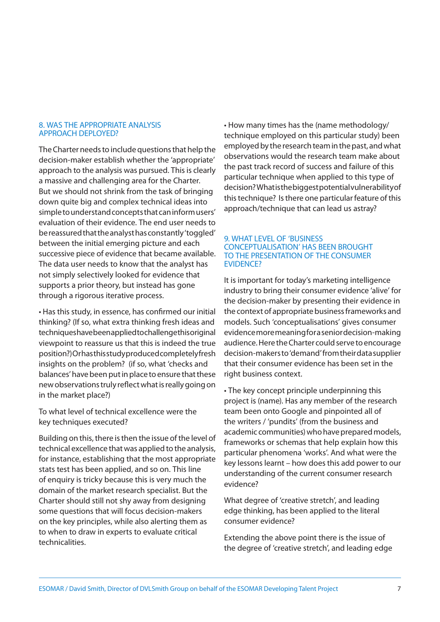#### 8. Was the appropriate analysis approach deployed?

The Charter needs to include questions that help the decision-maker establish whether the 'appropriate' approach to the analysis was pursued. This is clearly a massive and challenging area for the Charter. But we should not shrink from the task of bringing down quite big and complex technical ideas into simple to understand concepts that can inform users' evaluation of their evidence. The end user needs to be reassured that the analyst has constantly 'toggled' between the initial emerging picture and each successive piece of evidence that became available. The data user needs to know that the analyst has not simply selectively looked for evidence that supports a prior theory, but instead has gone through a rigorous iterative process.

• Has this study, in essence, has confirmed our initial thinking? (If so, what extra thinking fresh ideas and techniques have been applied to challenge this original viewpoint to reassure us that this is indeed the true position?) Or has this study produced completely fresh insights on the problem? (if so, what 'checks and balances' have been put in place to ensure that these new observations truly reflect what is really going on in the market place?)

To what level of technical excellence were the key techniques executed?

Building on this, there is then the issue of the level of technical excellence that was applied to the analysis, for instance, establishing that the most appropriate stats test has been applied, and so on. This line of enquiry is tricky because this is very much the domain of the market research specialist. But the Charter should still not shy away from designing some questions that will focus decision-makers on the key principles, while also alerting them as to when to draw in experts to evaluate critical technicalities.

• How many times has the (name methodology/ technique employed on this particular study) been employed by the research team in the past, and what observations would the research team make about the past track record of success and failure of this particular technique when applied to this type of decision? What is the biggest potential vulnerability of this technique? Is there one particular feature of this approach/technique that can lead us astray?

# 9. What level of 'business conceptualisation' has been brought to the presentation of the consumer EVIDENCE?

It is important for today's marketing intelligence industry to bring their consumer evidence 'alive' for the decision-maker by presenting their evidence in the context of appropriate business frameworks and models. Such 'conceptualisations' gives consumer evidence more meaning for a senior decision-making audience. Here the Charter could serve to encourage decision-makers to 'demand' from their data supplier that their consumer evidence has been set in the right business context.

• The key concept principle underpinning this project is (name). Has any member of the research team been onto Google and pinpointed all of the writers / 'pundits' (from the business and academic communities) who have prepared models, frameworks or schemas that help explain how this particular phenomena 'works'. And what were the key lessons learnt – how does this add power to our understanding of the current consumer research evidence?

What degree of 'creative stretch', and leading edge thinking, has been applied to the literal consumer evidence?

Extending the above point there is the issue of the degree of 'creative stretch', and leading edge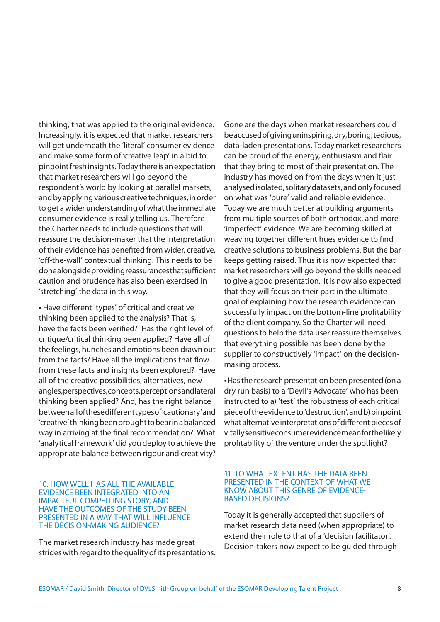thinking, that was applied to the original evidence. Increasingly, it is expected that market researchers will get underneath the 'literal' consumer evidence and make some form of 'creative leap' in a bid to pinpoint fresh insights. Today there is an expectation that market researchers will go beyond the respondent's world by looking at parallel markets, and by applying various creative techniques, in order to get a wider understanding of what the immediate consumer evidence is really telling us. Therefore the Charter needs to include questions that will reassure the decision-maker that the interpretation of their evidence has benefited from wider, creative, 'off-the-wall' contextual thinking. This needs to be done alongside providing reassurances that sufficient caution and prudence has also been exercised in 'stretching' the data in this way.

• Have different 'types' of critical and creative thinking been applied to the analysis? That is, have the facts been verified? Has the right level of critique/critical thinking been applied? Have all of the feelings, hunches and emotions been drawn out from the facts? Have all the implications that flow from these facts and insights been explored? Have all of the creative possibilities, alternatives, new angles, perspectives, concepts, perceptions and lateral thinking been applied? And, has the right balance between all of these different types of 'cautionary' and 'creative' thinking been brought to bear in a balanced way in arriving at the final recommendation? What 'analytical framework' did you deploy to achieve the appropriate balance between rigour and creativity?

#### 10. How well has all the available evidence been integrated into an impactful compelling story, and have the outcomes of the study been presented in a way that will influence the decision-making audience?

The market research industry has made great strides with regard to the quality of its presentations.

Gone are the days when market researchers could be accused of giving uninspiring, dry, boring, tedious, data-laden presentations. Today market researchers can be proud of the energy, enthusiasm and flair that they bring to most of their presentation. The industry has moved on from the days when it just analysed isolated, solitary datasets, and only focused on what was 'pure' valid and reliable evidence. Today we are much better at building arguments from multiple sources of both orthodox, and more 'imperfect' evidence. We are becoming skilled at weaving together different hues evidence to find creative solutions to business problems. But the bar keeps getting raised. Thus it is now expected that market researchers will go beyond the skills needed to give a good presentation. It is now also expected that they will focus on their part in the ultimate goal of explaining how the research evidence can successfully impact on the bottom-line profitability of the client company. So the Charter will need questions to help the data user reassure themselves that everything possible has been done by the supplier to constructively 'impact' on the decisionmaking process.

• Has the research presentation been presented (on a dry run basis) to a 'Devil's Advocate' who has been instructed to a) 'test' the robustness of each critical piece of the evidence to 'destruction', and b) pinpoint what alternative interpretations of different pieces of vitally sensitive consumer evidence mean for the likely profitability of the venture under the spotlight?

#### 11. TO WHAT EXTENT HAS THE DATA BEEN presented in the context of what we know about this genre of evidencebased decisions?

Today it is generally accepted that suppliers of market research data need (when appropriate) to extend their role to that of a 'decision facilitator'. Decision-takers now expect to be guided through